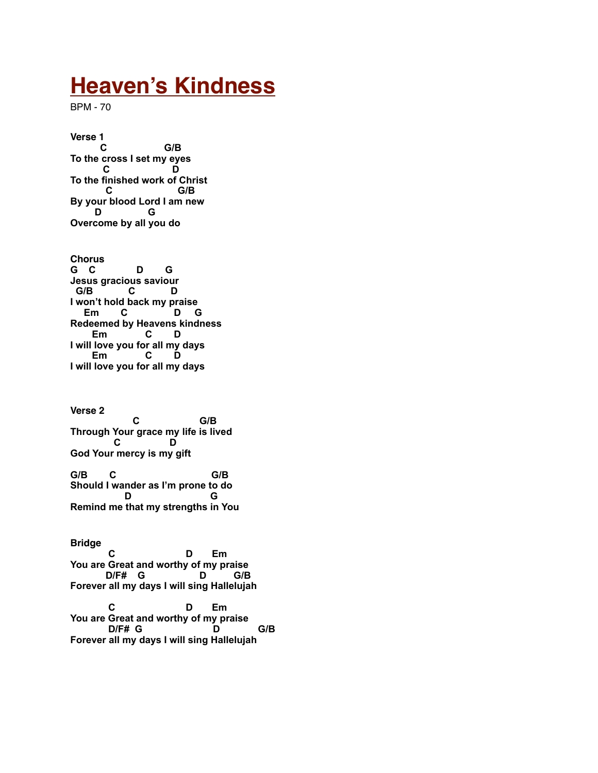## **Heaven's Kindness**

BPM - 70

**Verse 1 C G/B To the cross I set my eyes C D To the finished work of Christ C G/B By your blood Lord I am new D G Overcome by all you do**

**Chorus G C D G Jesus gracious saviour G/B C D I won't hold back my praise Em C D G Redeemed by Heavens kindness Em C D I will love you for all my days Em C D I will love you for all my days** 

**Verse 2 C** G/B **Through Your grace my life is lived C D God Your mercy is my gift G/B C G/B Should I wander as I'm prone to do D G Remind me that my strengths in You**

**Bridge C D Em You are Great and worthy of my praise D/F# G D G/B Forever all my days I will sing Hallelujah C D Em You are Great and worthy of my praise**

 **D/F# G D G/B Forever all my days I will sing Hallelujah**